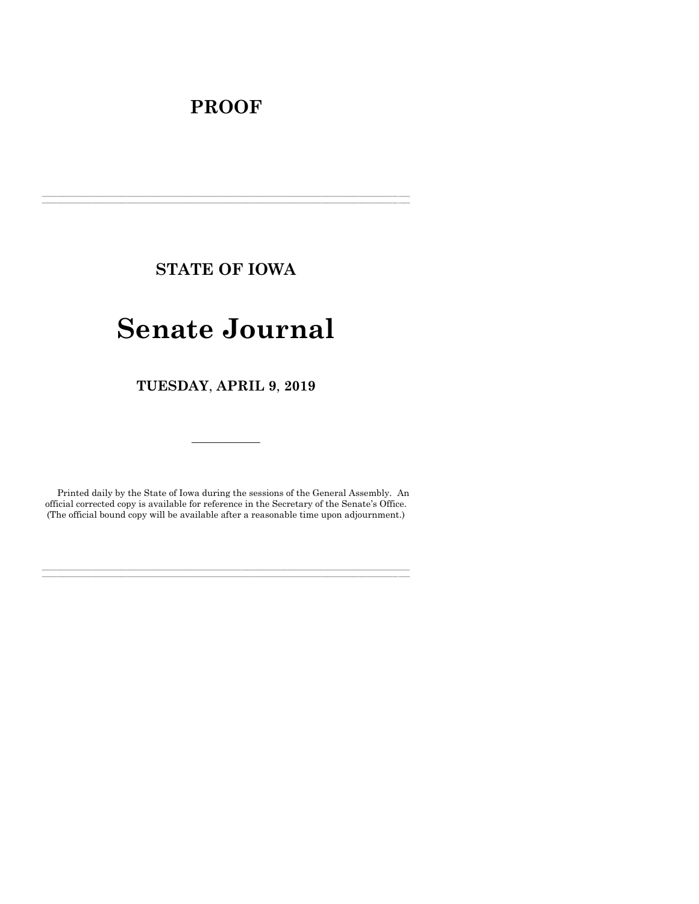# **PROOF**

**STATE OF IOWA**

**\_\_\_\_\_\_\_\_\_\_\_\_\_\_\_\_\_\_\_\_\_\_\_\_\_\_\_\_\_\_\_\_\_\_\_\_\_\_\_\_\_\_\_\_\_\_\_\_\_\_\_\_\_\_\_\_\_\_\_\_\_\_\_\_\_\_\_\_\_\_\_\_\_\_\_\_\_\_\_\_\_\_\_\_\_\_\_\_\_\_\_\_\_\_\_\_\_\_\_\_\_\_\_\_\_\_\_\_\_\_\_\_\_\_\_\_\_\_\_\_\_\_\_\_\_\_\_\_\_ \_\_\_\_\_\_\_\_\_\_\_\_\_\_\_\_\_\_\_\_\_\_\_\_\_\_\_\_\_\_\_\_\_\_\_\_\_\_\_\_\_\_\_\_\_\_\_\_\_\_\_\_\_\_\_\_\_\_\_\_\_\_\_\_\_\_\_\_\_\_\_\_\_\_\_\_\_\_\_\_\_\_\_\_\_\_\_\_\_\_\_\_\_\_\_\_\_\_\_\_\_\_\_\_\_\_\_\_\_\_\_\_\_\_\_\_\_\_\_\_\_\_\_\_\_\_\_\_\_**

# **Senate Journal**

**TUESDAY**, **APRIL 9**, **2019**

Printed daily by the State of Iowa during the sessions of the General Assembly. An official corrected copy is available for reference in the Secretary of the Senate's Office. (The official bound copy will be available after a reasonable time upon adjournment.)

**\_\_\_\_\_\_\_\_\_\_\_\_\_\_\_\_\_\_\_\_\_\_\_\_\_\_\_\_\_\_\_\_\_\_\_\_\_\_\_\_\_\_\_\_\_\_\_\_\_\_\_\_\_\_\_\_\_\_\_\_\_\_\_\_\_\_\_\_\_\_\_\_\_\_\_\_\_\_\_\_\_\_\_\_\_\_\_\_\_\_\_\_\_\_\_\_\_\_\_\_\_\_\_\_\_\_\_\_\_\_\_\_\_\_\_\_\_\_\_\_\_\_\_\_\_\_\_\_\_ \_\_\_\_\_\_\_\_\_\_\_\_\_\_\_\_\_\_\_\_\_\_\_\_\_\_\_\_\_\_\_\_\_\_\_\_\_\_\_\_\_\_\_\_\_\_\_\_\_\_\_\_\_\_\_\_\_\_\_\_\_\_\_\_\_\_\_\_\_\_\_\_\_\_\_\_\_\_\_\_\_\_\_\_\_\_\_\_\_\_\_\_\_\_\_\_\_\_\_\_\_\_\_\_\_\_\_\_\_\_\_\_\_\_\_\_\_\_\_\_\_\_\_\_\_\_\_\_\_**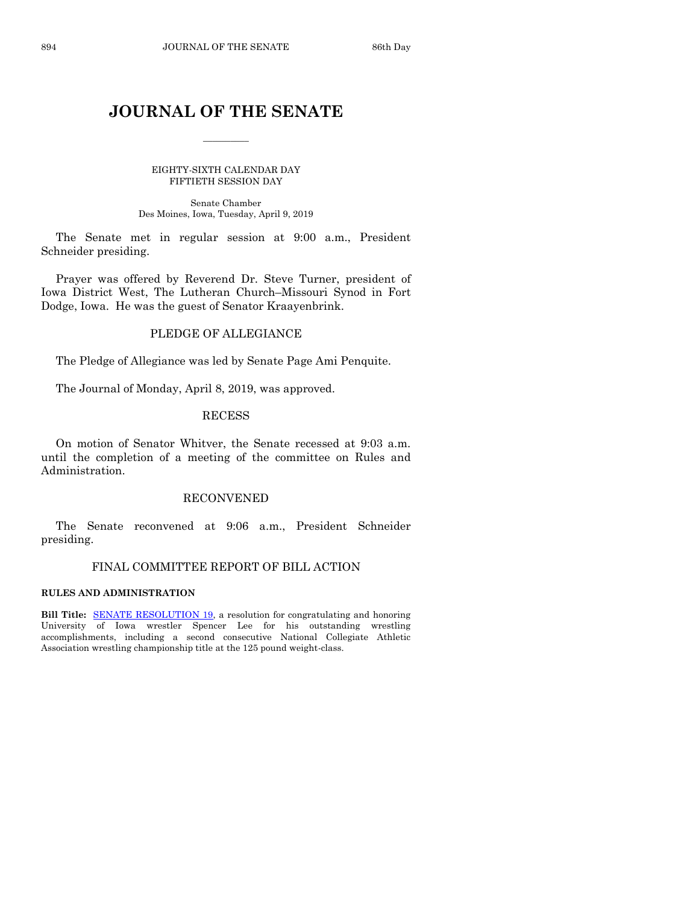# **JOURNAL OF THE SENATE**

 $\frac{1}{2}$ 

EIGHTY-SIXTH CALENDAR DAY FIFTIETH SESSION DAY

Senate Chamber Des Moines, Iowa, Tuesday, April 9, 2019

The Senate met in regular session at 9:00 a.m., President Schneider presiding.

Prayer was offered by Reverend Dr. Steve Turner, president of Iowa District West, The Lutheran Church–Missouri Synod in Fort Dodge, Iowa. He was the guest of Senator Kraayenbrink.

# PLEDGE OF ALLEGIANCE

The Pledge of Allegiance was led by Senate Page Ami Penquite.

The Journal of Monday, April 8, 2019, was approved.

#### RECESS

On motion of Senator Whitver, the Senate recessed at 9:03 a.m. until the completion of a meeting of the committee on Rules and Administration.

#### RECONVENED

The Senate reconvened at 9:06 a.m., President Schneider presiding.

#### FINAL COMMITTEE REPORT OF BILL ACTION

#### **RULES AND ADMINISTRATION**

**Bill Title:** [SENATE RESOLUTION 19,](https://www.legis.iowa.gov/legislation/BillBook?ga=88&ba=SR19) a resolution for congratulating and honoring University of Iowa wrestler Spencer Lee for his outstanding wrestling accomplishments, including a second consecutive National Collegiate Athletic Association wrestling championship title at the 125 pound weight-class.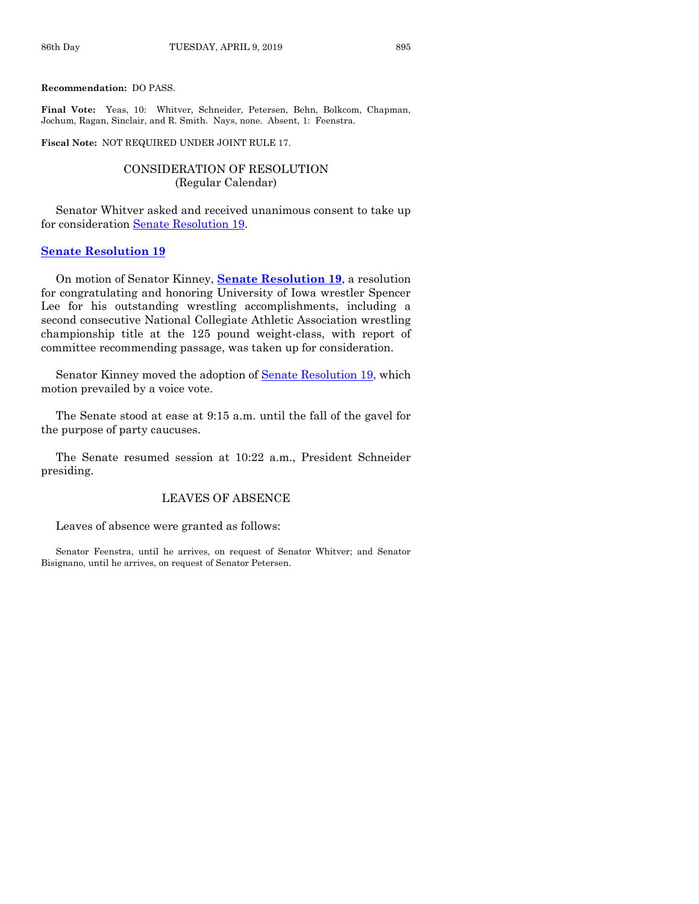**Recommendation:** DO PASS.

**Final Vote:** Yeas, 10: Whitver, Schneider, Petersen, Behn, Bolkcom, Chapman, Jochum, Ragan, Sinclair, and R. Smith. Nays, none. Absent, 1: Feenstra.

**Fiscal Note:** NOT REQUIRED UNDER JOINT RULE 17.

# CONSIDERATION OF RESOLUTION (Regular Calendar)

Senator Whitver asked and received unanimous consent to take up for consideration [Senate Resolution 19.](https://www.legis.iowa.gov/legislation/BillBook?ga=88&ba=SR19)

#### **[Senate Resolution 19](https://www.legis.iowa.gov/legislation/BillBook?ga=88&ba=SR19)**

On motion of Senator Kinney, **Senate [Resolution 19](https://www.legis.iowa.gov/legislation/BillBook?ga=88&ba=SR19)**, a resolution for congratulating and honoring University of Iowa wrestler Spencer Lee for his outstanding wrestling accomplishments, including a second consecutive National Collegiate Athletic Association wrestling championship title at the 125 pound weight-class, with report of committee recommending passage, was taken up for consideration.

Senator Kinney moved the adoption of [Senate Resolution 19,](https://www.legis.iowa.gov/legislation/BillBook?ga=88&ba=SR19) which motion prevailed by a voice vote.

The Senate stood at ease at 9:15 a.m. until the fall of the gavel for the purpose of party caucuses.

The Senate resumed session at 10:22 a.m., President Schneider presiding.

# LEAVES OF ABSENCE

Leaves of absence were granted as follows:

Senator Feenstra, until he arrives, on request of Senator Whitver; and Senator Bisignano, until he arrives, on request of Senator Petersen.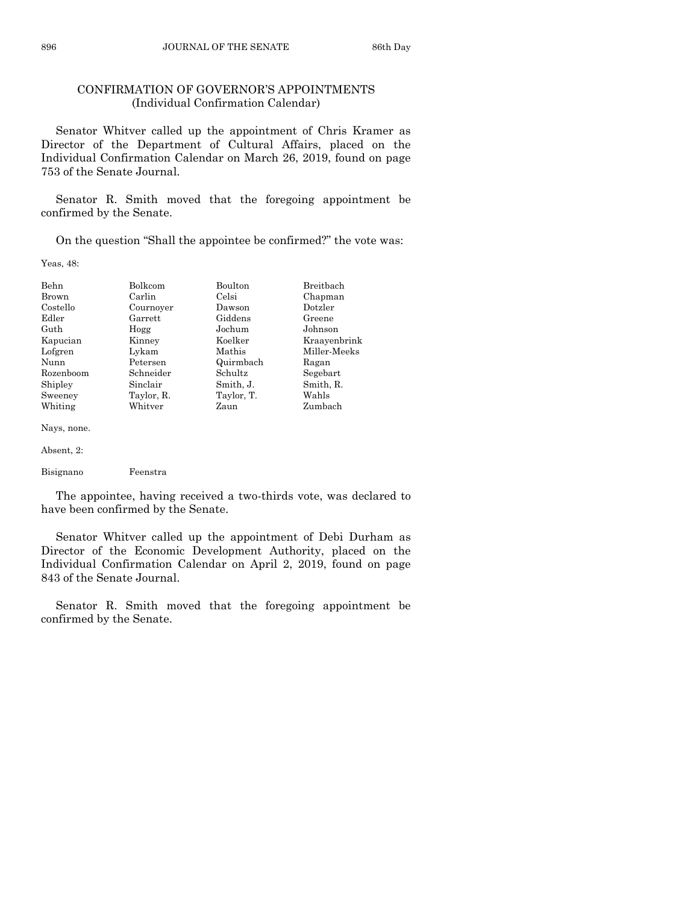# CONFIRMATION OF GOVERNOR'S APPOINTMENTS (Individual Confirmation Calendar)

Senator Whitver called up the appointment of Chris Kramer as Director of the Department of Cultural Affairs, placed on the Individual Confirmation Calendar on March 26, 2019, found on page 753 of the Senate Journal.

Senator R. Smith moved that the foregoing appointment be confirmed by the Senate.

On the question "Shall the appointee be confirmed?" the vote was:

Yeas, 48:

| <b>Behn</b><br>Brown | <b>Bolkcom</b><br>Carlin | <b>Boulton</b><br>Celsi | Breitbach<br>Chapman |
|----------------------|--------------------------|-------------------------|----------------------|
| Costello             | Cournover                | Dawson                  | Dotzler              |
| Edler                | Garrett                  | Giddens                 | Greene               |
| Guth                 | Hogg                     | Jochum                  | Johnson              |
| Kapucian             | Kinney                   | Koelker                 | Kraayenbrink         |
| Lofgren              | Lykam                    | Mathis                  | Miller-Meeks         |
| Nunn                 | Petersen                 | Quirmbach               | Ragan                |
| Rozenboom            | Schneider                | <b>Schultz</b>          | Segebart             |
| Shipley              | Sinclair                 | Smith, J.               | Smith, R.            |
| Sweeney              | Taylor, R.               | Taylor, T.              | Wahls                |
| Whiting              | Whitver                  | Zaun                    | Zumbach              |

Nays, none.

```
Absent, 2:
```
Bisignano Feenstra

The appointee, having received a two-thirds vote, was declared to have been confirmed by the Senate.

Senator Whitver called up the appointment of Debi Durham as Director of the Economic Development Authority, placed on the Individual Confirmation Calendar on April 2, 2019, found on page 843 of the Senate Journal.

Senator R. Smith moved that the foregoing appointment be confirmed by the Senate.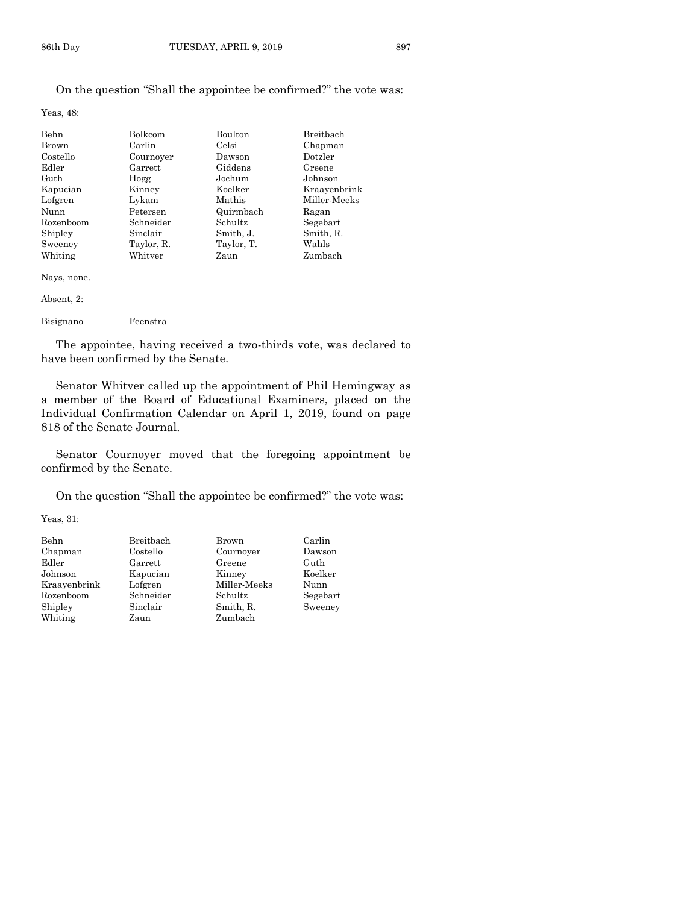#### On the question "Shall the appointee be confirmed?" the vote was:

Yeas, 48:

| Bolkcom    | Boulton    | Breitbach    |
|------------|------------|--------------|
| Carlin     | Celsi      | Chapman      |
| Cournover  | Dawson     | Dotzler      |
| Garrett    | Giddens    | Greene       |
| Hogg       | Jochum     | Johnson      |
| Kinney     | Koelker    | Kraayenbrink |
| Lykam      | Mathis     | Miller-Meeks |
| Petersen   | Quirmbach  | Ragan        |
| Schneider  | Schultz    | Segebart     |
| Sinclair   | Smith, J.  | Smith, R.    |
| Taylor, R. | Taylor, T. | Wahls        |
| Whitver    | Zaun       | Zumbach      |
|            |            |              |

Nays, none.

| ,,,,       |          |  |  |
|------------|----------|--|--|
| Bisignano  | Feenstra |  |  |
| Absent, 2: |          |  |  |
|            |          |  |  |

The appointee, having received a two-thirds vote, was declared to have been confirmed by the Senate.

Senator Whitver called up the appointment of Phil Hemingway as a member of the Board of Educational Examiners, placed on the Individual Confirmation Calendar on April 1, 2019, found on page 818 of the Senate Journal.

Senator Cournoyer moved that the foregoing appointment be confirmed by the Senate.

On the question "Shall the appointee be confirmed?" the vote was:

Yeas, 31:

| Behn         | Breitbach | Brown        | Carlin   |
|--------------|-----------|--------------|----------|
| Chapman      | Costello  | Cournoyer    | Dawson   |
| Edler        | Garrett   | Greene       | Guth     |
| Johnson      | Kapucian  | Kinney       | Koelker  |
| Kraayenbrink | Lofgren   | Miller-Meeks | Nunn     |
| Rozenboom    | Schneider | Schultz      | Segebart |
| Shipley      | Sinclair  | Smith, R.    | Sweeney  |
| Whiting      | Zaun      | Zumbach      |          |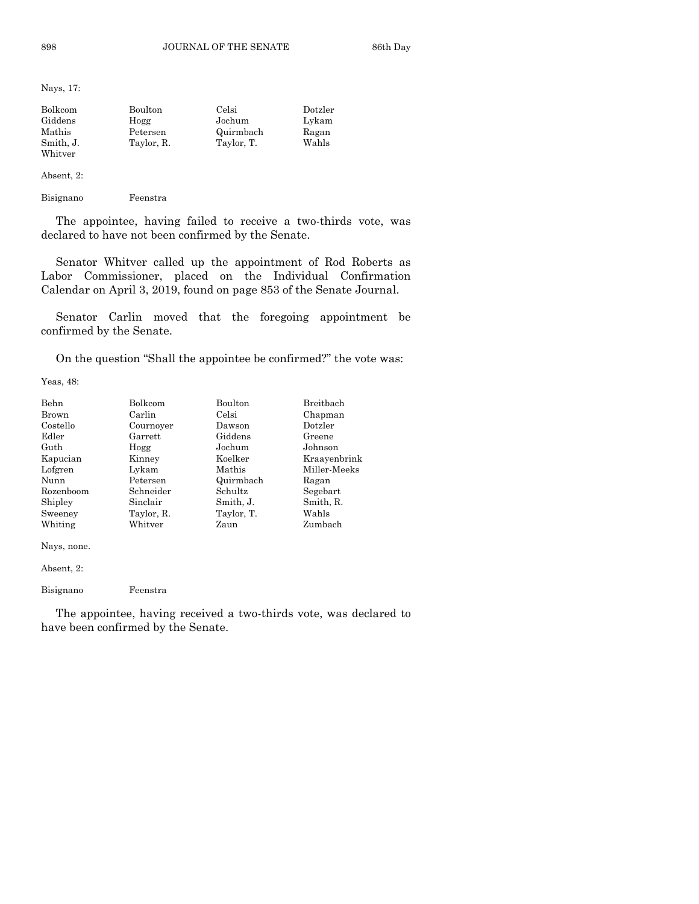Nays, 17:

| Bolkcom   | Boulton    | Celsi      | Dotzler |
|-----------|------------|------------|---------|
| Giddens   | Hogg       | Jochum     | Lykam   |
| Mathis    | Petersen   | Quirmbach  | Ragan   |
| Smith. J. | Taylor, R. | Taylor, T. | Wahls   |
| Whitver   |            |            |         |

Absent, 2:

Bisignano Feenstra

The appointee, having failed to receive a two-thirds vote, was declared to have not been confirmed by the Senate.

Senator Whitver called up the appointment of Rod Roberts as Labor Commissioner, placed on the Individual Confirmation Calendar on April 3, 2019, found on page 853 of the Senate Journal.

Senator Carlin moved that the foregoing appointment be confirmed by the Senate.

On the question "Shall the appointee be confirmed?" the vote was:

Yeas, 48:

| Behn        | Bolkcom    | Boulton    | Breithach    |
|-------------|------------|------------|--------------|
| Brown       | Carlin     | Celsi      | Chapman      |
| Costello    | Cournoyer  | Dawson     | Dotzler      |
| Edler       | Garrett    | Giddens    | Greene       |
| Guth        | Hogg       | Jochum     | Johnson      |
| Kapucian    | Kinney     | Koelker    | Kraayenbrink |
| Lofgren     | Lykam      | Mathis     | Miller-Meeks |
| Nunn        | Petersen   | Quirmbach  | Ragan        |
| Rozenboom   | Schneider  | Schultz    | Segebart     |
| Shipley     | Sinclair   | Smith, J.  | Smith, R.    |
| Sweeney     | Taylor, R. | Taylor, T. | Wahls        |
| Whiting     | Whitver    | Zaun       | Zumbach      |
| Nays, none. |            |            |              |

Absent, 2:

Bisignano Feenstra

The appointee, having received a two-thirds vote, was declared to have been confirmed by the Senate.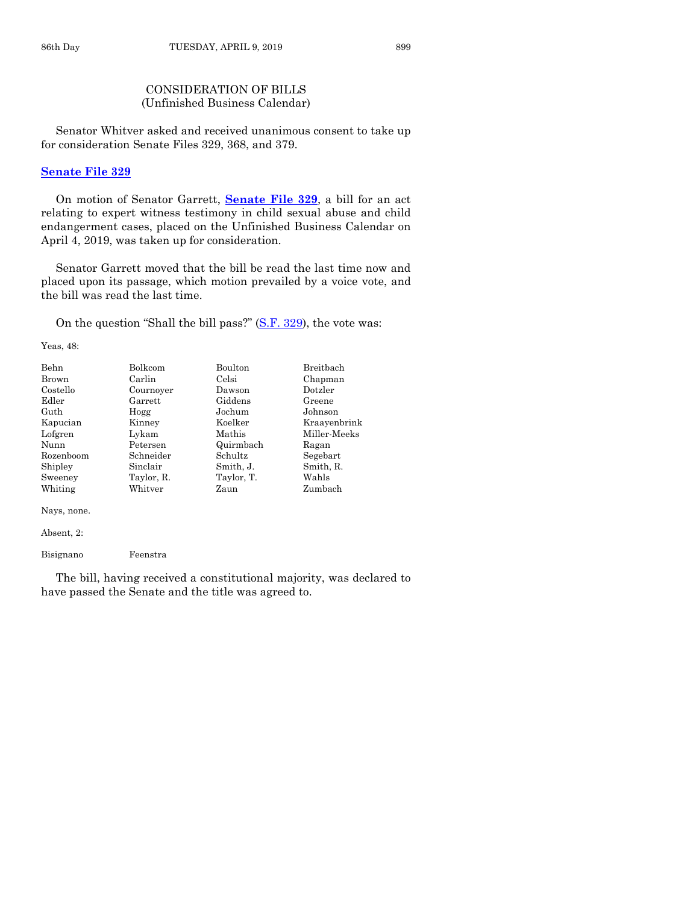# CONSIDERATION OF BILLS (Unfinished Business Calendar)

Senator Whitver asked and received unanimous consent to take up for consideration Senate Files 329, 368, and 379.

#### **[Senate File 329](https://www.legis.iowa.gov/legislation/BillBook?ga=88&ba=SF329)**

On motion of Senator Garrett, **[Senate File 329](https://www.legis.iowa.gov/legislation/BillBook?ga=88&ba=SF329)**, a bill for an act relating to expert witness testimony in child sexual abuse and child endangerment cases, placed on the Unfinished Business Calendar on April 4, 2019, was taken up for consideration.

Senator Garrett moved that the bill be read the last time now and placed upon its passage, which motion prevailed by a voice vote, and the bill was read the last time.

On the question "Shall the bill pass?" [\(S.F. 329\)](https://www.legis.iowa.gov/legislation/BillBook?ga=88&ba=SF329), the vote was:

Yeas, 48:

| Behn      | <b>Bolkcom</b> | <b>Boulton</b> | <b>Breithach</b> |
|-----------|----------------|----------------|------------------|
| Brown     | Carlin         | Celsi          | Chapman          |
| Costello  | Cournover      | Dawson         | Dotzler          |
| Edler     | Garrett        | Giddens        | Greene           |
| Guth      | Hogg           | Jochum         | Johnson          |
| Kapucian  | Kinney         | Koelker        | Kraayenbrink     |
| Lofgren   | Lykam          | Mathis         | Miller-Meeks     |
| Nunn      | Petersen       | Quirmbach      | Ragan            |
| Rozenboom | Schneider      | Schultz        | Segebart         |
| Shipley   | Sinclair       | Smith, J.      | Smith, R.        |
| Sweeney   | Taylor, R.     | Taylor, T.     | Wahls            |
| Whiting   | Whitver        | Zaun           | Zumbach          |

Nays, none.

Absent, 2:

Bisignano Feenstra

The bill, having received a constitutional majority, was declared to have passed the Senate and the title was agreed to.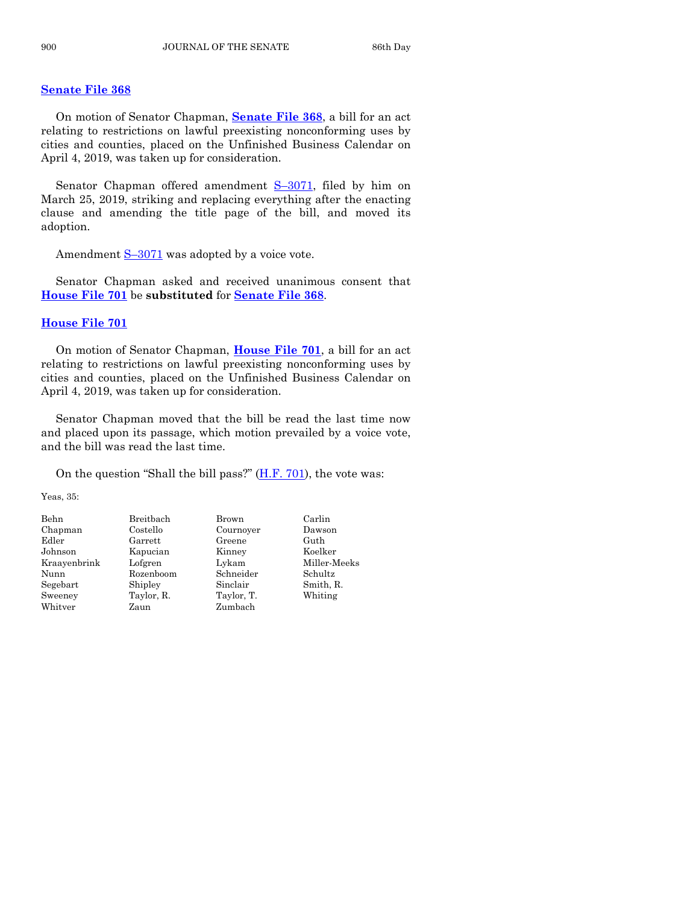#### **[Senate File 368](https://www.legis.iowa.gov/legislation/BillBook?ga=88&ba=SF368)**

On motion of Senator Chapman, **[Senate File 368](https://www.legis.iowa.gov/legislation/BillBook?ga=88&ba=SF368)**, a bill for an act relating to restrictions on lawful preexisting nonconforming uses by cities and counties, placed on the Unfinished Business Calendar on April 4, 2019, was taken up for consideration.

Senator Chapman offered amendment S-[3071,](https://www.legis.iowa.gov/legislation/BillBook?ga=88&ba=S3071) filed by him on March 25, 2019, striking and replacing everything after the enacting clause and amending the title page of the bill, and moved its adoption.

Amendment  $S-3071$  $S-3071$  was adopted by a voice vote.

Senator Chapman asked and received unanimous consent that **[House File 701](https://www.legis.iowa.gov/legislation/BillBook?ga=88&ba=HF701)** be **substituted** for **[Senate File 368](https://www.legis.iowa.gov/legislation/BillBook?ga=88&ba=SF368)**.

#### **[House File 701](https://www.legis.iowa.gov/legislation/BillBook?ga=88&ba=HF701)**

On motion of Senator Chapman, **[House File 701](https://www.legis.iowa.gov/legislation/BillBook?ga=88&ba=HF701)**, a bill for an act relating to restrictions on lawful preexisting nonconforming uses by cities and counties, placed on the Unfinished Business Calendar on April 4, 2019, was taken up for consideration.

Senator Chapman moved that the bill be read the last time now and placed upon its passage, which motion prevailed by a voice vote, and the bill was read the last time.

On the question "Shall the bill pass?" [\(H.F.](https://www.legis.iowa.gov/legislation/BillBook?ga=88&ba=HF701) 701), the vote was:

Yeas, 35:

Behn Breitbach Brown Carlin Chapman Costello Cournoyer Dawson Edler Garrett Greene Guth<br>Johnson Kapucian Kinney Koelker Johnson Kapucian Kinney Nunn Rozenboom Schneider Schultz Segebart Shipley Sinclair Smith, R. Sweeney Taylor, R. Taylor, T. Whiting Whitver Zaun Zambach

Kraayenbrink Lofgren Lykam Miller-Meeks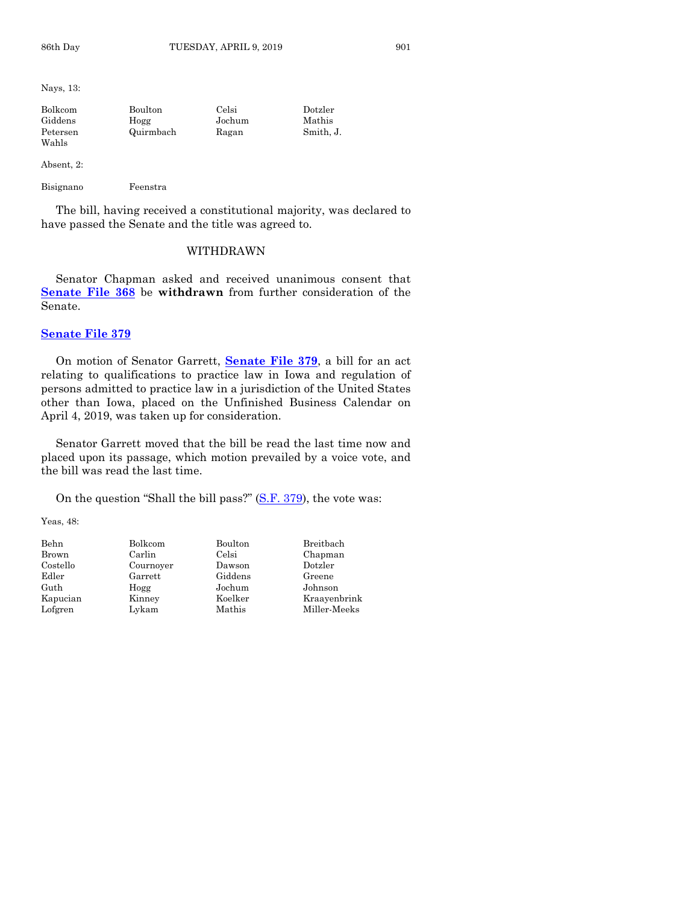Nays, 13:

| Bolkcom  | Boulton   | Celsi  | Dotzler   |
|----------|-----------|--------|-----------|
| Giddens  | Hogg      | Jochum | Mathis    |
| Petersen | Quirmbach | Ragan  | Smith. J. |
| Wahls    |           |        |           |

Absent, 2:

Bisignano Feenstra

The bill, having received a constitutional majority, was declared to have passed the Senate and the title was agreed to.

# WITHDRAWN

Senator Chapman asked and received unanimous consent that **[Senate File 368](https://www.legis.iowa.gov/legislation/BillBook?ga=88&ba=SF368)** be **withdrawn** from further consideration of the Senate.

#### **[Senate File 379](https://www.legis.iowa.gov/legislation/BillBook?ga=88&ba=SF379)**

On motion of Senator Garrett, **[Senate File 379](https://www.legis.iowa.gov/legislation/BillBook?ga=88&ba=SF379)**, a bill for an act relating to qualifications to practice law in Iowa and regulation of persons admitted to practice law in a jurisdiction of the United States other than Iowa, placed on the Unfinished Business Calendar on April 4, 2019, was taken up for consideration.

Senator Garrett moved that the bill be read the last time now and placed upon its passage, which motion prevailed by a voice vote, and the bill was read the last time.

On the question "Shall the bill pass?" [\(S.F. 379\)](https://www.legis.iowa.gov/legislation/BillBook?ga=88&ba=SF379), the vote was:

Yeas, 48:

| Behn     | Bolkcom   | Boulton | Breitbach    |
|----------|-----------|---------|--------------|
| Brown    | Carlin    | Celsi   | Chapman      |
| Costello | Cournoyer | Dawson  | Dotzler      |
| Edler    | Garrett   | Giddens | Greene       |
| Guth     | Hogg      | Jochum  | Johnson      |
| Kapucian | Kinney    | Koelker | Kraavenbrink |
| Lofgren  | Lykam     | Mathis  | Miller-Meeks |
|          |           |         |              |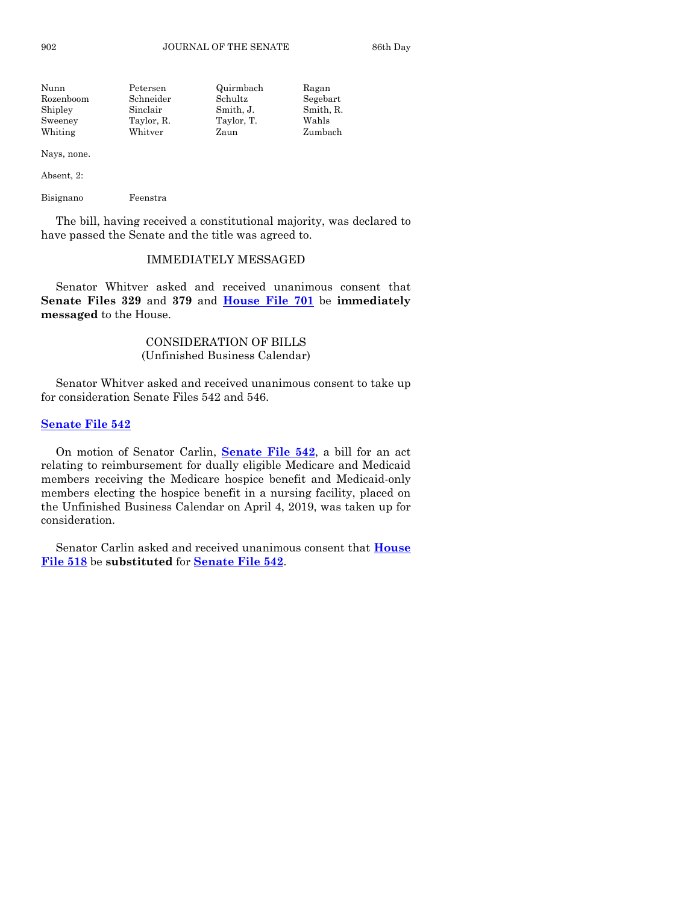902 JOURNAL OF THE SENATE 86th Day

| Nunn      | Petersen   | Quirmbach  | Ragan     |
|-----------|------------|------------|-----------|
| Rozenboom | Schneider  | Schultz    | Segebart  |
| Shipley   | Sinclair   | Smith, J.  | Smith, R. |
| Sweeney   | Taylor, R. | Taylor, T. | Wahls     |
| Whiting   | Whitver    | Zaun       | Zumbach   |
|           |            |            |           |

Nays, none.

Absent, 2:

Bisignano Feenstra

The bill, having received a constitutional majority, was declared to have passed the Senate and the title was agreed to.

#### IMMEDIATELY MESSAGED

Senator Whitver asked and received unanimous consent that **Senate Files 329** and **379** and **[House File 701](https://www.legis.iowa.gov/legislation/BillBook?ga=88&ba=HF701)** be **immediately messaged** to the House.

# CONSIDERATION OF BILLS (Unfinished Business Calendar)

Senator Whitver asked and received unanimous consent to take up for consideration Senate Files 542 and 546.

#### **[Senate File 542](https://www.legis.iowa.gov/legislation/BillBook?ga=88&ba=SF542)**

On motion of Senator Carlin, **[Senate File 542](https://www.legis.iowa.gov/legislation/BillBook?ga=88&ba=SF542)**, a bill for an act relating to reimbursement for dually eligible Medicare and Medicaid members receiving the Medicare hospice benefit and Medicaid-only members electing the hospice benefit in a nursing facility, placed on the Unfinished Business Calendar on April 4, 2019, was taken up for consideration.

Senator Carlin asked and received unanimous consent that **[House](https://www.legis.iowa.gov/legislation/BillBook?ga=88&ba=HF518)  [File 518](https://www.legis.iowa.gov/legislation/BillBook?ga=88&ba=HF518)** be **substituted** for **[Senate File 542](https://www.legis.iowa.gov/legislation/BillBook?ga=88&ba=SF542)**.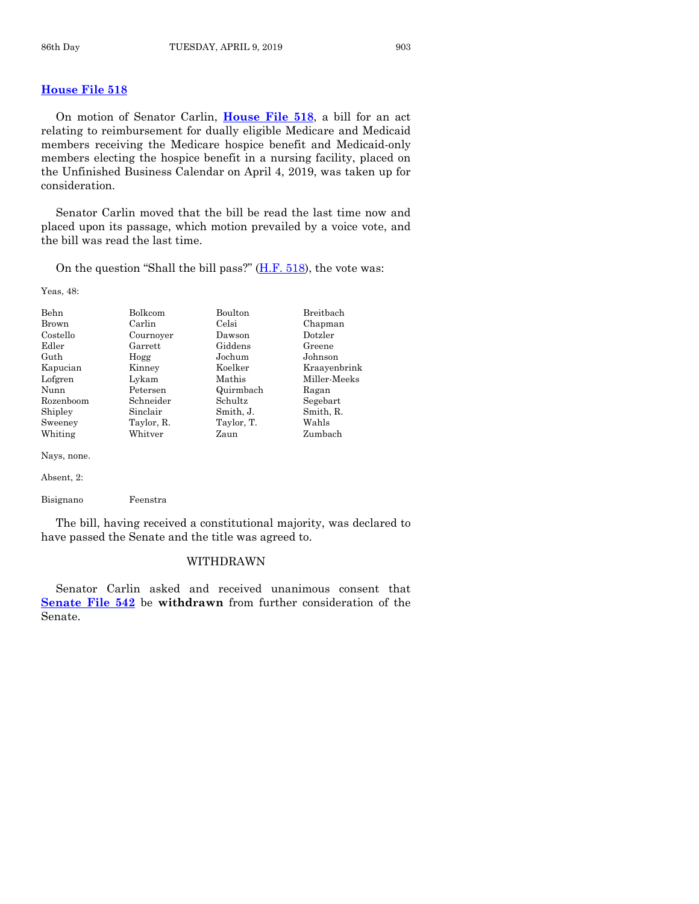# **[House File 518](https://www.legis.iowa.gov/legislation/BillBook?ga=88&ba=HF518)**

On motion of Senator Carlin, **[House File 518](https://www.legis.iowa.gov/legislation/BillBook?ga=88&ba=HF518)**, a bill for an act relating to reimbursement for dually eligible Medicare and Medicaid members receiving the Medicare hospice benefit and Medicaid-only members electing the hospice benefit in a nursing facility, placed on the Unfinished Business Calendar on April 4, 2019, was taken up for consideration.

Senator Carlin moved that the bill be read the last time now and placed upon its passage, which motion prevailed by a voice vote, and the bill was read the last time.

On the question "Shall the bill pass?"  $(H.F. 518)$ , the vote was:

Yeas, 48:

| Behn        | <b>Bolkcom</b> | <b>Boulton</b> | Breithach    |
|-------------|----------------|----------------|--------------|
| Brown       | Carlin         | Celsi          | Chapman      |
| Costello    | Cournoyer      | Dawson         | Dotzler      |
| Edler       | Garrett        | Giddens        | Greene       |
| Guth        | Hogg           | Jochum         | Johnson      |
| Kapucian    | Kinney         | Koelker        | Kraavenbrink |
| Lofgren     | Lykam          | Mathis         | Miller-Meeks |
| Nunn        | Petersen       | Quirmbach      | Ragan        |
| Rozenboom   | Schneider      | Schultz        | Segebart     |
| Shipley     | Sinclair       | Smith, J.      | Smith, R.    |
| Sweeney     | Taylor, R.     | Taylor, T.     | Wahls        |
| Whiting     | Whitver        | Zaun           | Zumbach      |
| Nays, none. |                |                |              |

Absent, 2:

Bisignano Feenstra

The bill, having received a constitutional majority, was declared to have passed the Senate and the title was agreed to.

#### WITHDRAWN

Senator Carlin asked and received unanimous consent that **[Senate File 542](https://www.legis.iowa.gov/legislation/BillBook?ga=88&ba=SF542)** be **withdrawn** from further consideration of the Senate.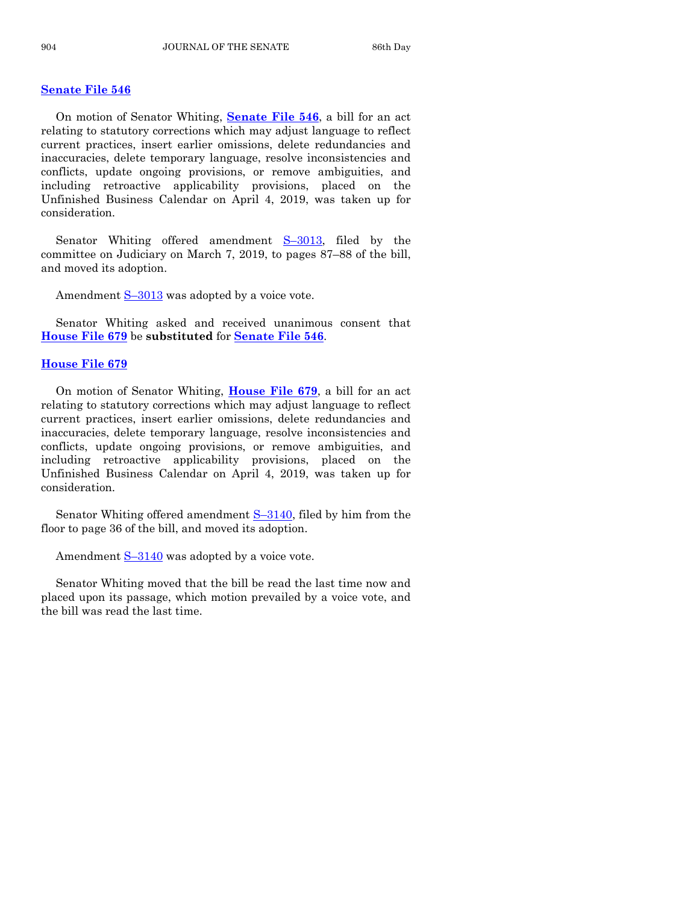#### **[Senate File 546](https://www.legis.iowa.gov/legislation/BillBook?ga=88&ba=SF546)**

On motion of Senator Whiting, **[Senate File 546](https://www.legis.iowa.gov/legislation/BillBook?ga=88&ba=SF546)**, a bill for an act relating to statutory corrections which may adjust language to reflect current practices, insert earlier omissions, delete redundancies and inaccuracies, delete temporary language, resolve inconsistencies and conflicts, update ongoing provisions, or remove ambiguities, and including retroactive applicability provisions, placed on the Unfinished Business Calendar on April 4, 2019, was taken up for consideration.

Senator Whiting offered amendment S–[3013,](https://www.legis.iowa.gov/legislation/BillBook?ga=88&ba=S3013) filed by the committee on Judiciary on March 7, 2019, to pages 87–88 of the bill, and moved its adoption.

Amendment  $S-3013$  $S-3013$  was adopted by a voice vote.

Senator Whiting asked and received unanimous consent that **[House File 679](https://www.legis.iowa.gov/legislation/BillBook?ga=88&ba=HF679)** be **substituted** for **[Senate File 546](https://www.legis.iowa.gov/legislation/BillBook?ga=88&ba=SF546)**.

#### **[House File 679](https://www.legis.iowa.gov/legislation/BillBook?ga=88&ba=HF679)**

On motion of Senator Whiting, **[House File 679](https://www.legis.iowa.gov/legislation/BillBook?ga=88&ba=HF679)**, a bill for an act relating to statutory corrections which may adjust language to reflect current practices, insert earlier omissions, delete redundancies and inaccuracies, delete temporary language, resolve inconsistencies and conflicts, update ongoing provisions, or remove ambiguities, and including retroactive applicability provisions, placed on the Unfinished Business Calendar on April 4, 2019, was taken up for consideration.

Senator Whiting offered amendment S–[3140,](https://www.legis.iowa.gov/legislation/BillBook?ga=88&ba=S3140) filed by him from the floor to page 36 of the bill, and moved its adoption.

Amendment  $S-3140$  $S-3140$  was adopted by a voice vote.

Senator Whiting moved that the bill be read the last time now and placed upon its passage, which motion prevailed by a voice vote, and the bill was read the last time.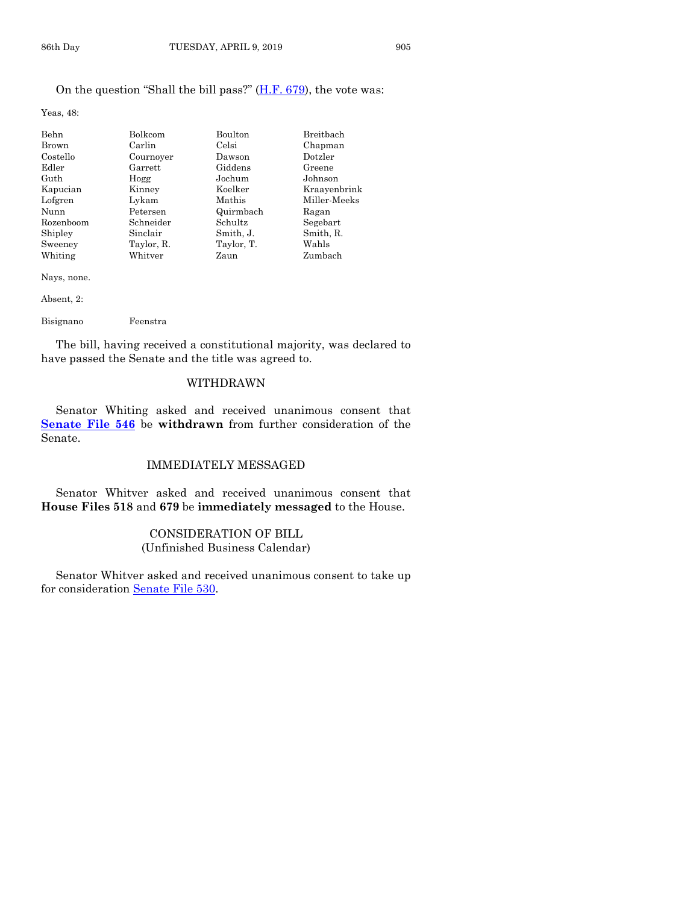Yeas, 48:

| Behn      | Bolkcom    | Boulton    | Breitbach    |
|-----------|------------|------------|--------------|
| Brown     | Carlin     | Celsi      | Chapman      |
| Costello  | Cournoyer  | Dawson     | Dotzler      |
| Edler     | Garrett    | Giddens    | Greene       |
| Guth      | Hogg       | Jochum     | Johnson      |
| Kapucian  | Kinney     | Koelker    | Kraayenbrink |
| Lofgren   | Lykam      | Mathis     | Miller-Meeks |
| Nunn      | Petersen   | Quirmbach  | Ragan        |
| Rozenboom | Schneider  | Schultz    | Segebart     |
| Shipley   | Sinclair   | Smith, J.  | Smith, R.    |
| Sweeney   | Taylor, R. | Taylor, T. | Wahls        |
| Whiting   | Whitver    | Zaun       | Zumbach      |

Nays, none.

Absent, 2:

Bisignano Feenstra

The bill, having received a constitutional majority, was declared to have passed the Senate and the title was agreed to.

# WITHDRAWN

Senator Whiting asked and received unanimous consent that **[Senate File 546](https://www.legis.iowa.gov/legislation/BillBook?ga=88&ba=SF546)** be **withdrawn** from further consideration of the Senate.

#### IMMEDIATELY MESSAGED

Senator Whitver asked and received unanimous consent that **House Files 518** and **679** be **immediately messaged** to the House.

# CONSIDERATION OF BILL (Unfinished Business Calendar)

Senator Whitver asked and received unanimous consent to take up for consideration [Senate File 530.](https://www.legis.iowa.gov/legislation/BillBook?ga=88&ba=SF530)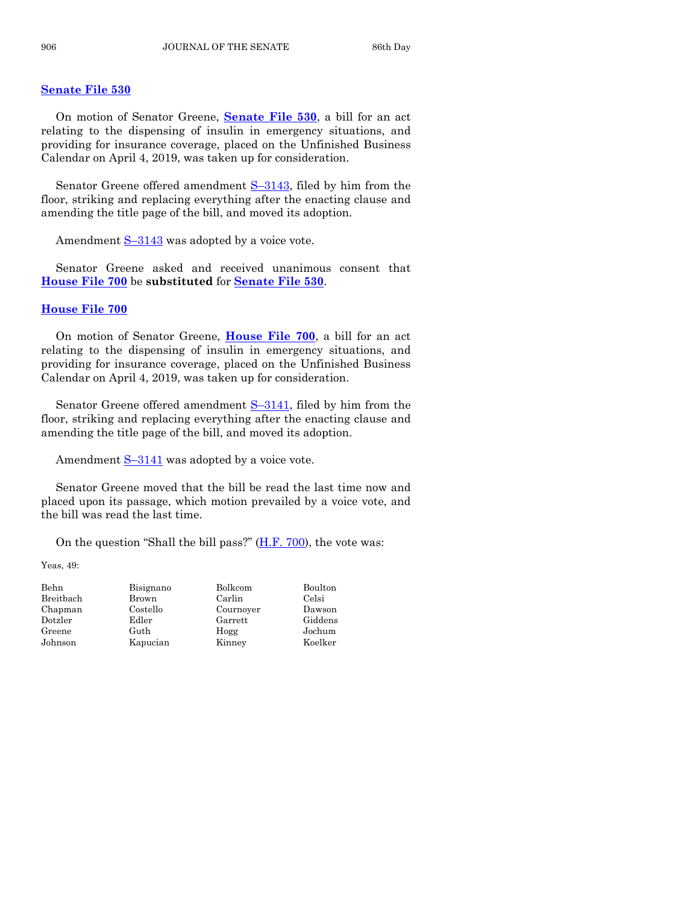#### **[Senate File 530](https://www.legis.iowa.gov/legislation/BillBook?ga=88&ba=SF530)**

On motion of Senator Greene, **[Senate File 530](https://www.legis.iowa.gov/legislation/BillBook?ga=88&ba=SF530)**, a bill for an act relating to the dispensing of insulin in emergency situations, and providing for insurance coverage, placed on the Unfinished Business Calendar on April 4, 2019, was taken up for consideration.

Senator Greene offered amendment  $S-3143$ , filed by him from the floor, striking and replacing everything after the enacting clause and amending the title page of the bill, and moved its adoption.

Amendment S–[3143](https://www.legis.iowa.gov/legislation/BillBook?ga=88&ba=S3143) was adopted by a voice vote.

Senator Greene asked and received unanimous consent that **[House File 700](https://www.legis.iowa.gov/legislation/BillBook?ga=88&ba=HF700)** be **substituted** for **[Senate File 530](https://www.legis.iowa.gov/legislation/BillBook?ga=88&ba=SF530)**.

#### **[House File 700](https://www.legis.iowa.gov/legislation/BillBook?ga=88&ba=HF700)**

On motion of Senator Greene, **[House File 700](https://www.legis.iowa.gov/legislation/BillBook?ga=88&ba=HF700)**, a bill for an act relating to the dispensing of insulin in emergency situations, and providing for insurance coverage, placed on the Unfinished Business Calendar on April 4, 2019, was taken up for consideration.

Senator Greene offered amendment  $S-3141$ , filed by him from the floor, striking and replacing everything after the enacting clause and amending the title page of the bill, and moved its adoption.

Amendment S–[3141](https://www.legis.iowa.gov/legislation/BillBook?ga=88&ba=S3141) was adopted by a voice vote.

Senator Greene moved that the bill be read the last time now and placed upon its passage, which motion prevailed by a voice vote, and the bill was read the last time.

On the question "Shall the bill pass?" [\(H.F. 700\)](https://www.legis.iowa.gov/legislation/BillBook?ga=88&ba=HF700), the vote was:

Yeas, 49:

| Behn      | Bisignano | Bolkcom   | Boulton |
|-----------|-----------|-----------|---------|
| Breitbach | Brown     | Carlin    | Celsi   |
| Chapman   | Costello  | Cournoyer | Dawson  |
| Dotzler   | Edler     | Garrett   | Giddens |
| Greene    | Guth      | Hogg      | Jochum  |
| Johnson   | Kapucian  | Kinney    | Koelker |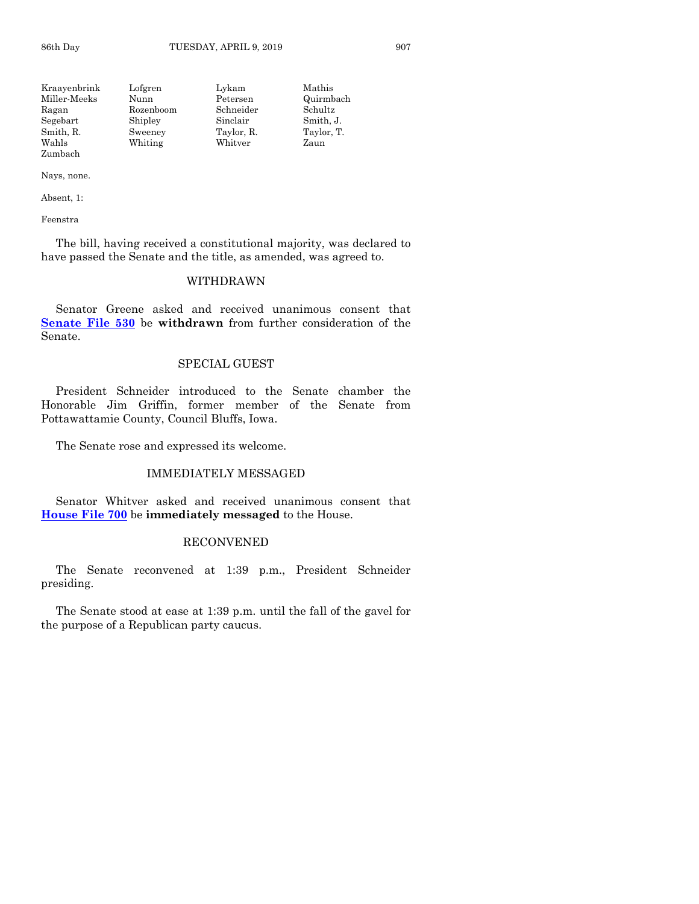| Kraavenbrink | Lofgren   | Lykam      | Mathis     |
|--------------|-----------|------------|------------|
| Miller-Meeks | Nunn      | Petersen   | Quirmbach  |
| Ragan        | Rozenboom | Schneider  | Schultz    |
| Segebart     | Shipley   | Sinclair   | Smith, J.  |
| Smith, R.    | Sweeney   | Taylor, R. | Taylor, T. |
| Wahls        | Whiting   | Whitver    | Zaun       |
| Zumbach      |           |            |            |

Nays, none.

Absent, 1:

Feenstra

The bill, having received a constitutional majority, was declared to have passed the Senate and the title, as amended, was agreed to.

# WITHDRAWN

Senator Greene asked and received unanimous consent that **[Senate File 530](https://www.legis.iowa.gov/legislation/BillBook?ga=88&ba=SF530)** be **withdrawn** from further consideration of the Senate.

#### SPECIAL GUEST

President Schneider introduced to the Senate chamber the Honorable Jim Griffin, former member of the Senate from Pottawattamie County, Council Bluffs, Iowa.

The Senate rose and expressed its welcome.

#### IMMEDIATELY MESSAGED

Senator Whitver asked and received unanimous consent that **[House File 700](https://www.legis.iowa.gov/legislation/BillBook?ga=88&ba=HF700)** be **immediately messaged** to the House.

#### RECONVENED

The Senate reconvened at 1:39 p.m., President Schneider presiding.

The Senate stood at ease at 1:39 p.m. until the fall of the gavel for the purpose of a Republican party caucus.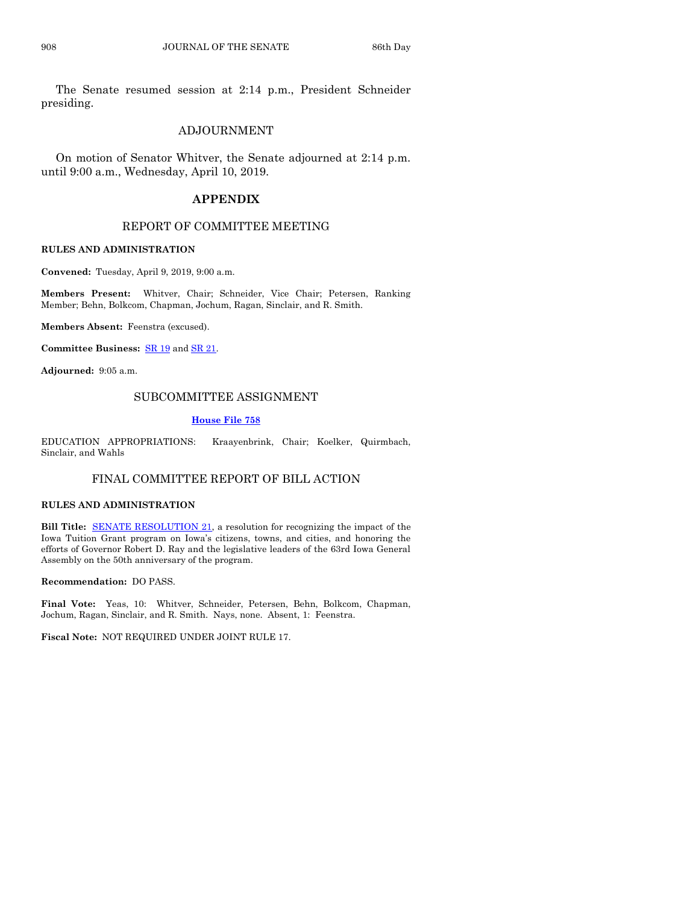The Senate resumed session at 2:14 p.m., President Schneider presiding.

#### ADJOURNMENT

On motion of Senator Whitver, the Senate adjourned at 2:14 p.m. until 9:00 a.m., Wednesday, April 10, 2019.

#### **APPENDIX**

## REPORT OF COMMITTEE MEETING

#### **RULES AND ADMINISTRATION**

**Convened:** Tuesday, April 9, 2019, 9:00 a.m.

**Members Present:** Whitver, Chair; Schneider, Vice Chair; Petersen, Ranking Member; Behn, Bolkcom, Chapman, Jochum, Ragan, Sinclair, and R. Smith.

**Members Absent:** Feenstra (excused).

**Committee Business:** [SR 19](https://www.legis.iowa.gov/legislation/BillBook?ga=88&ba=SR19) an[d SR 21.](https://www.legis.iowa.gov/legislation/BillBook?ga=88&ba=SR21)

**Adjourned:** 9:05 a.m.

#### SUBCOMMITTEE ASSIGNMENT

#### **[House File 758](https://www.legis.iowa.gov/legislation/BillBook?ga=88&ba=HF758)**

EDUCATION APPROPRIATIONS: Kraayenbrink, Chair; Koelker, Quirmbach, Sinclair, and Wahls

# FINAL COMMITTEE REPORT OF BILL ACTION

#### **RULES AND ADMINISTRATION**

**Bill Title:** [SENATE RESOLUTION 21,](https://www.legis.iowa.gov/legislation/BillBook?ga=88&ba=SR21) a resolution for recognizing the impact of the Iowa Tuition Grant program on Iowa's citizens, towns, and cities, and honoring the efforts of Governor Robert D. Ray and the legislative leaders of the 63rd Iowa General Assembly on the 50th anniversary of the program.

**Recommendation:** DO PASS.

**Final Vote:** Yeas, 10: Whitver, Schneider, Petersen, Behn, Bolkcom, Chapman, Jochum, Ragan, Sinclair, and R. Smith. Nays, none. Absent, 1: Feenstra.

**Fiscal Note:** NOT REQUIRED UNDER JOINT RULE 17.